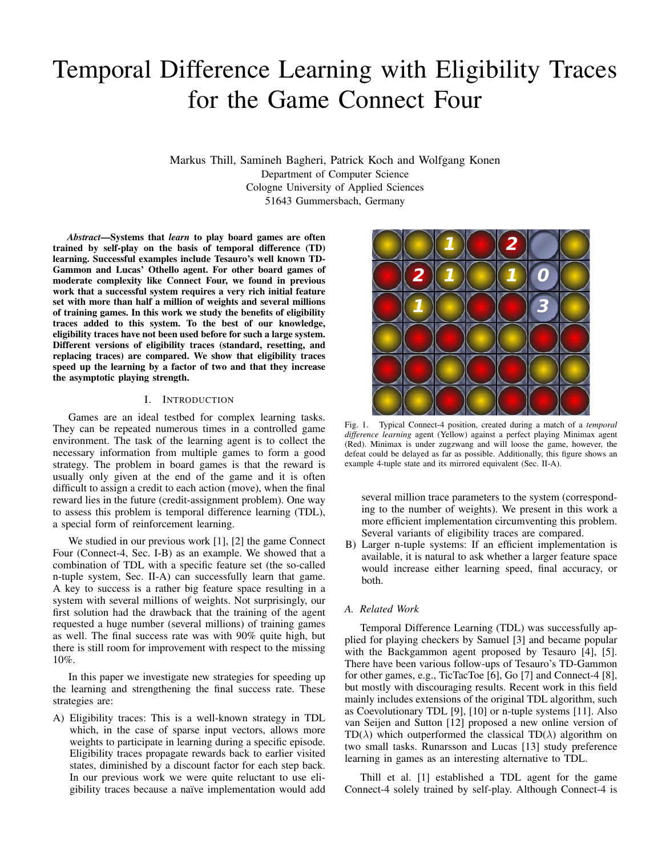# Temporal Difference Learning with Eligibility Traces for the Game Connect Four

Markus Thill, Samineh Bagheri, Patrick Koch and Wolfgang Konen Department of Computer Science Cologne University of Applied Sciences 51643 Gummersbach, Germany

*Abstract*—Systems that *learn* to play board games are often trained by self-play on the basis of temporal difference (TD) learning. Successful examples include Tesauro's well known TD-Gammon and Lucas' Othello agent. For other board games of moderate complexity like Connect Four, we found in previous work that a successful system requires a very rich initial feature set with more than half a million of weights and several millions of training games. In this work we study the benefits of eligibility traces added to this system. To the best of our knowledge, eligibility traces have not been used before for such a large system. Different versions of eligibility traces (standard, resetting, and replacing traces) are compared. We show that eligibility traces speed up the learning by a factor of two and that they increase the asymptotic playing strength.

# I. INTRODUCTION

Games are an ideal testbed for complex learning tasks. They can be repeated numerous times in a controlled game environment. The task of the learning agent is to collect the necessary information from multiple games to form a good strategy. The problem in board games is that the reward is usually only given at the end of the game and it is often difficult to assign a credit to each action (move), when the final reward lies in the future (credit-assignment problem). One way to assess this problem is temporal difference learning (TDL), a special form of reinforcement learning.

We studied in our previous work [1], [2] the game Connect Four (Connect-4, Sec. I-B) as an example. We showed that a combination of TDL with a specific feature set (the so-called n-tuple system, Sec. II-A) can successfully learn that game. A key to success is a rather big feature space resulting in a system with several millions of weights. Not surprisingly, our first solution had the drawback that the training of the agent requested a huge number (several millions) of training games as well. The final success rate was with 90% quite high, but there is still room for improvement with respect to the missing 10%.

In this paper we investigate new strategies for speeding up the learning and strengthening the final success rate. These strategies are:

A) Eligibility traces: This is a well-known strategy in TDL which, in the case of sparse input vectors, allows more weights to participate in learning during a specific episode. Eligibility traces propagate rewards back to earlier visited states, diminished by a discount factor for each step back. In our previous work we were quite reluctant to use eligibility traces because a naïve implementation would add



Fig. 1. Typical Connect-4 position, created during a match of a *temporal difference learning* agent (Yellow) against a perfect playing Minimax agent (Red). Minimax is under zugzwang and will loose the game, however, the defeat could be delayed as far as possible. Additionally, this figure shows an example 4-tuple state and its mirrored equivalent (Sec. II-A).

several million trace parameters to the system (corresponding to the number of weights). We present in this work a more efficient implementation circumventing this problem. Several variants of eligibility traces are compared.

B) Larger n-tuple systems: If an efficient implementation is available, it is natural to ask whether a larger feature space would increase either learning speed, final accuracy, or both.

# *A. Related Work*

Temporal Difference Learning (TDL) was successfully applied for playing checkers by Samuel [3] and became popular with the Backgammon agent proposed by Tesauro [4], [5]. There have been various follow-ups of Tesauro's TD-Gammon for other games, e.g., TicTacToe [6], Go [7] and Connect-4 [8], but mostly with discouraging results. Recent work in this field mainly includes extensions of the original TDL algorithm, such as Coevolutionary TDL [9], [10] or n-tuple systems [11]. Also van Seijen and Sutton [12] proposed a new online version of TD( $\lambda$ ) which outperformed the classical TD( $\lambda$ ) algorithm on two small tasks. Runarsson and Lucas [13] study preference learning in games as an interesting alternative to TDL.

Thill et al. [1] established a TDL agent for the game Connect-4 solely trained by self-play. Although Connect-4 is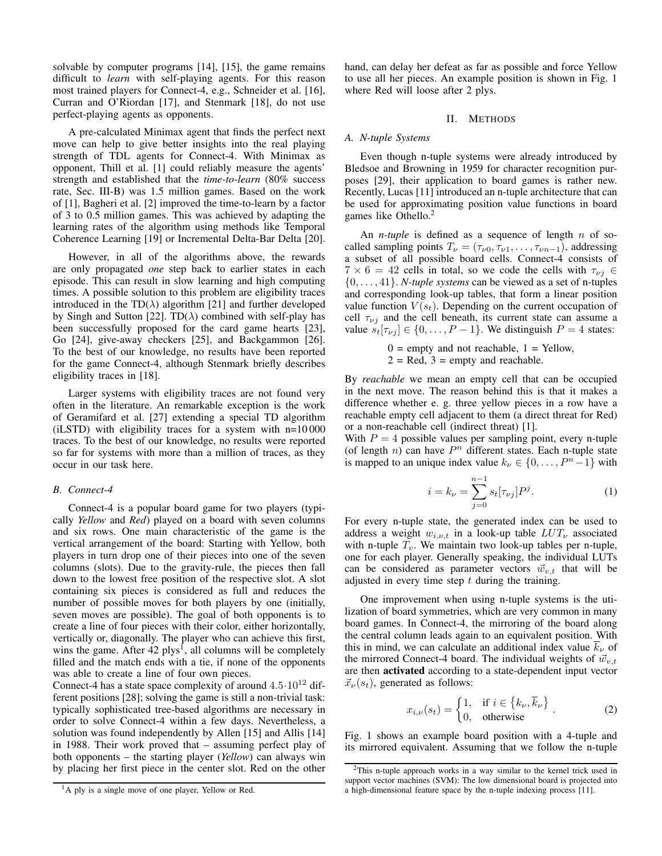solvable by computer programs [14], [15], the game remains difficult to *learn* with self-playing agents. For this reason most trained players for Connect-4, e.g., Schneider et al. [16], Curran and O'Riordan [17], and Stenmark [18], do not use perfect-playing agents as opponents.

A pre-calculated Minimax agent that finds the perfect next move can help to give better insights into the real playing strength of TDL agents for Connect-4. With Minimax as opponent, Thill et al. [1] could reliably measure the agents' strength and established that the *time-to-learn* (80% success rate, Sec. III-B) was 1.5 million games. Based on the work of [1], Bagheri et al. [2] improved the time-to-learn by a factor of 3 to 0.5 million games. This was achieved by adapting the learning rates of the algorithm using methods like Temporal Coherence Learning [19] or Incremental Delta-Bar Delta [20].

However, in all of the algorithms above, the rewards are only propagated *one* step back to earlier states in each episode. This can result in slow learning and high computing times. A possible solution to this problem are eligibility traces introduced in the TD( $\lambda$ ) algorithm [21] and further developed by Singh and Sutton [22]. TD( $\lambda$ ) combined with self-play has been successfully proposed for the card game hearts [23], Go [24], give-away checkers [25], and Backgammon [26]. To the best of our knowledge, no results have been reported for the game Connect-4, although Stenmark briefly describes eligibility traces in [18].

Larger systems with eligibility traces are not found very often in the literature. An remarkable exception is the work of Geramifard et al. [27] extending a special TD algorithm  $(iLSTD)$  with eligibility traces for a system with  $n=10000$ traces. To the best of our knowledge, no results were reported so far for systems with more than a million of traces, as they occur in our task here.

#### *B. Connect-4*

Connect-4 is a popular board game for two players (typically *Yellow* and *Red*) played on a board with seven columns and six rows. One main characteristic of the game is the vertical arrangement of the board: Starting with Yellow, both players in turn drop one of their pieces into one of the seven columns (slots). Due to the gravity-rule, the pieces then fall down to the lowest free position of the respective slot. A slot containing six pieces is considered as full and reduces the number of possible moves for both players by one (initially, seven moves are possible). The goal of both opponents is to create a line of four pieces with their color, either horizontally, vertically or, diagonally. The player who can achieve this first, wins the game. After  $42$  plys<sup>1</sup>, all columns will be completely filled and the match ends with a tie, if none of the opponents was able to create a line of four own pieces.

Connect-4 has a state space complexity of around  $4.5 \cdot 10^{12}$  different positions [28]; solving the game is still a non-trivial task: typically sophisticated tree-based algorithms are necessary in order to solve Connect-4 within a few days. Nevertheless, a solution was found independently by Allen [15] and Allis [14] in 1988. Their work proved that – assuming perfect play of both opponents – the starting player (*Yellow*) can always win by placing her first piece in the center slot. Red on the other

hand, can delay her defeat as far as possible and force Yellow to use all her pieces. An example position is shown in Fig. 1 where Red will loose after 2 plys.

#### II. METHODS

#### *A. N-tuple Systems*

Even though n-tuple systems were already introduced by Bledsoe and Browning in 1959 for character recognition purposes [29], their application to board games is rather new. Recently, Lucas [11] introduced an n-tuple architecture that can be used for approximating position value functions in board games like Othello.<sup>2</sup>

An *n-tuple* is defined as a sequence of length *n* of socalled sampling points  $T_{\nu} = (\tau_{\nu 0}, \tau_{\nu 1}, \dots, \tau_{\nu n-1})$ , addressing a subset of all possible board cells. Connect-4 consists of  $7 \times 6 = 42$  cells in total, so we code the cells with  $\tau_{\nu i} \in$ {0, . . . , 41}. *N-tuple systems* can be viewed as a set of n-tuples and corresponding look-up tables, that form a linear position value function  $V(s_t)$ . Depending on the current occupation of cell  $\tau_{\nu i}$  and the cell beneath, its current state can assume a value  $s_t[\tau_{\nu j}] \in \{0, \ldots, P-1\}$ . We distinguish  $P = 4$  states:

> $0 =$  empty and not reachable,  $1 =$  Yellow,  $2 =$  Red,  $3 =$  empty and reachable.

By *reachable* we mean an empty cell that can be occupied in the next move. The reason behind this is that it makes a difference whether e. g. three yellow pieces in a row have a reachable empty cell adjacent to them (a direct threat for Red) or a non-reachable cell (indirect threat) [1].

With  $P = 4$  possible values per sampling point, every n-tuple (of length  $n$ ) can have  $P<sup>n</sup>$  different states. Each n-tuple state is mapped to an unique index value  $k_{\nu} \in \{0, \ldots, P^{n}-1\}$  with

$$
i = k_{\nu} = \sum_{j=0}^{n-1} s_t [\tau_{\nu j}] P^j.
$$
 (1)

For every n-tuple state, the generated index can be used to address a weight  $w_{i,\nu,t}$  in a look-up table  $LUT_{\nu}$  associated with n-tuple  $T_v$ . We maintain two look-up tables per n-tuple, one for each player. Generally speaking, the individual LUTs can be considered as parameter vectors  $\vec{w}_{v,t}$  that will be adjusted in every time step  $t$  during the training.

One improvement when using n-tuple systems is the utilization of board symmetries, which are very common in many board games. In Connect-4, the mirroring of the board along the central column leads again to an equivalent position. With this in mind, we can calculate an additional index value  $k_{\nu}$  of the mirrored Connect-4 board. The individual weights of  $\vec{w}_{v,t}$ are then activated according to a state-dependent input vector  $\vec{x}_{\nu}(s_t)$ , generated as follows:

$$
x_{i,\nu}(s_t) = \begin{cases} 1, & \text{if } i \in \{k_{\nu}, \overline{k}_{\nu}\} \\ 0, & \text{otherwise} \end{cases} . \tag{2}
$$

Fig. 1 shows an example board position with a 4-tuple and its mirrored equivalent. Assuming that we follow the n-tuple

 ${}^{1}$ A ply is a single move of one player, Yellow or Red.

<sup>2</sup>This n-tuple approach works in a way similar to the kernel trick used in support vector machines (SVM): The low dimensional board is projected into a high-dimensional feature space by the n-tuple indexing process [11].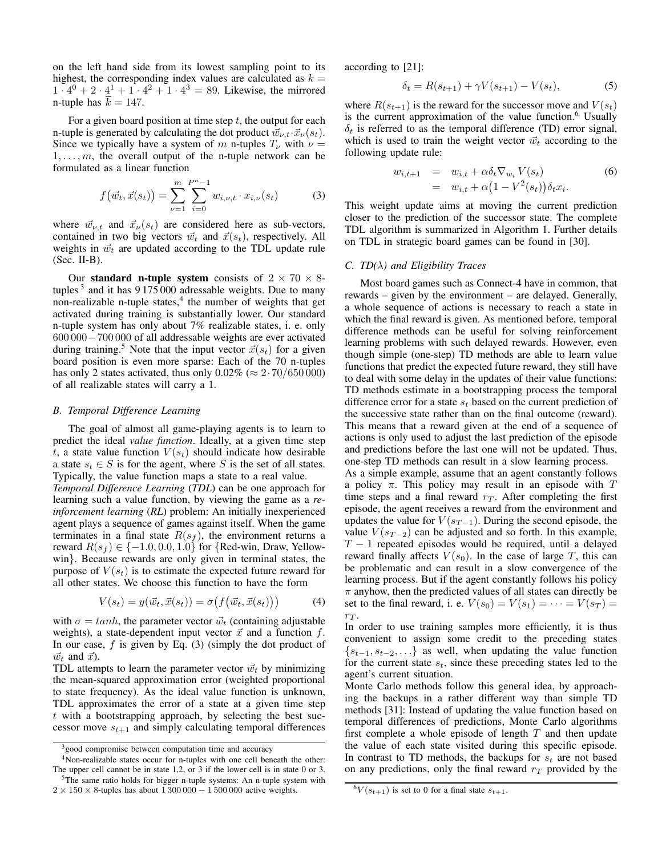on the left hand side from its lowest sampling point to its highest, the corresponding index values are calculated as  $k =$  $1 \cdot 4^0 + 2 \cdot 4^1 + 1 \cdot 4^2 + 1 \cdot 4^3 = 89$ . Likewise, the mirrored n-tuple has  $\overline{k} = 147$ .

For a given board position at time step  $t$ , the output for each n-tuple is generated by calculating the dot product  $\vec{w}_{\nu,t} \cdot \vec{x}_{\nu}(s_t)$ . Since we typically have a system of m n-tuples  $T_{\nu}$  with  $\nu =$  $1, \ldots, m$ , the overall output of the n-tuple network can be formulated as a linear function

$$
f(\vec{w_t}, \vec{x}(s_t)) = \sum_{\nu=1}^{m} \sum_{i=0}^{P^n - 1} w_{i, \nu, t} \cdot x_{i, \nu}(s_t)
$$
 (3)

where  $\vec{w}_{\nu,t}$  and  $\vec{x}_{\nu}(s_t)$  are considered here as sub-vectors, contained in two big vectors  $\vec{w}_t$  and  $\vec{x}(s_t)$ , respectively. All weights in  $\vec{w_t}$  are updated according to the TDL update rule (Sec. II-B).

Our standard n-tuple system consists of  $2 \times 70 \times 8$ tuples<sup>3</sup> and it has  $9175000$  adressable weights. Due to many non-realizable n-tuple states, $4$  the number of weights that get activated during training is substantially lower. Our standard n-tuple system has only about 7% realizable states, i. e. only 600 000−700 000 of all addressable weights are ever activated during training.<sup>5</sup> Note that the input vector  $\vec{x}(s_t)$  for a given board position is even more sparse: Each of the 70 n-tuples has only 2 states activated, thus only  $0.02\% \approx 2.70/650000$ of all realizable states will carry a 1.

# *B. Temporal Difference Learning*

The goal of almost all game-playing agents is to learn to predict the ideal *value function*. Ideally, at a given time step t, a state value function  $V(s_t)$  should indicate how desirable a state  $s_t \in S$  is for the agent, where S is the set of all states. Typically, the value function maps a state to a real value. *Temporal Difference Learning* (*TDL*) can be one approach for learning such a value function, by viewing the game as a *reinforcement learning* (*RL*) problem: An initially inexperienced agent plays a sequence of games against itself. When the game terminates in a final state  $R(s_f)$ , the environment returns a reward  $R(s_f) \in \{-1.0, 0.0, 1.0\}$  for {Red-win, Draw, Yellowwin}. Because rewards are only given in terminal states, the purpose of  $V(s_t)$  is to estimate the expected future reward for all other states. We choose this function to have the form

$$
V(s_t) = y(\vec{w_t}, \vec{x}(s_t)) = \sigma(f(\vec{w_t}, \vec{x}(s_t)))
$$
\n(4)

with  $\sigma = \tanh$ , the parameter vector  $\vec{w}_t$  (containing adjustable weights), a state-dependent input vector  $\vec{x}$  and a function f. In our case,  $f$  is given by Eq. (3) (simply the dot product of  $\vec{w}_t$  and  $\vec{x}$ ).

TDL attempts to learn the parameter vector  $\vec{w}_t$  by minimizing the mean-squared approximation error (weighted proportional to state frequency). As the ideal value function is unknown, TDL approximates the error of a state at a given time step  $t$  with a bootstrapping approach, by selecting the best successor move  $s_{t+1}$  and simply calculating temporal differences

according to [21]:

$$
\delta_t = R(s_{t+1}) + \gamma V(s_{t+1}) - V(s_t), \tag{5}
$$

where  $R(s_{t+1})$  is the reward for the successor move and  $V(s_t)$ is the current approximation of the value function.<sup>6</sup> Usually  $\delta_t$  is referred to as the temporal difference (TD) error signal, which is used to train the weight vector  $\vec{w}_t$  according to the following update rule:

$$
w_{i,t+1} = w_{i,t} + \alpha \delta_t \nabla_{w_i} V(s_t)
$$
  
= 
$$
w_{i,t} + \alpha (1 - V^2(s_t)) \delta_t x_i.
$$
 (6)

This weight update aims at moving the current prediction closer to the prediction of the successor state. The complete TDL algorithm is summarized in Algorithm 1. Further details on TDL in strategic board games can be found in [30].

# *C. TD(*λ*) and Eligibility Traces*

Most board games such as Connect-4 have in common, that rewards – given by the environment – are delayed. Generally, a whole sequence of actions is necessary to reach a state in which the final reward is given. As mentioned before, temporal difference methods can be useful for solving reinforcement learning problems with such delayed rewards. However, even though simple (one-step) TD methods are able to learn value functions that predict the expected future reward, they still have to deal with some delay in the updates of their value functions: TD methods estimate in a bootstrapping process the temporal difference error for a state  $s_t$  based on the current prediction of the successive state rather than on the final outcome (reward). This means that a reward given at the end of a sequence of actions is only used to adjust the last prediction of the episode and predictions before the last one will not be updated. Thus, one-step TD methods can result in a slow learning process.

As a simple example, assume that an agent constantly follows a policy  $\pi$ . This policy may result in an episode with T time steps and a final reward  $r<sub>T</sub>$ . After completing the first episode, the agent receives a reward from the environment and updates the value for  $V(s_{T-1})$ . During the second episode, the value  $V(s_{T-2})$  can be adjusted and so forth. In this example,  $T - 1$  repeated episodes would be required, until a delayed reward finally affects  $V(s_0)$ . In the case of large T, this can be problematic and can result in a slow convergence of the learning process. But if the agent constantly follows his policy  $\pi$  anyhow, then the predicted values of all states can directly be set to the final reward, i. e.  $V(s_0) = V(s_1) = \cdots = V(s_T) =$  $r_T$ .

In order to use training samples more efficiently, it is thus convenient to assign some credit to the preceding states  $\{s_{t-1}, s_{t-2}, \ldots\}$  as well, when updating the value function for the current state  $s_t$ , since these preceding states led to the agent's current situation.

Monte Carlo methods follow this general idea, by approaching the backups in a rather different way than simple TD methods [31]: Instead of updating the value function based on temporal differences of predictions, Monte Carlo algorithms first complete a whole episode of length  $T$  and then update the value of each state visited during this specific episode. In contrast to TD methods, the backups for  $s_t$  are not based on any predictions, only the final reward  $r<sub>T</sub>$  provided by the

<sup>&</sup>lt;sup>3</sup>good compromise between computation time and accuracy

<sup>4</sup>Non-realizable states occur for n-tuples with one cell beneath the other: The upper cell cannot be in state 1,2, or 3 if the lower cell is in state 0 or 3.

<sup>5</sup>The same ratio holds for bigger n-tuple systems: An n-tuple system with  $2 \times 150 \times 8$ -tuples has about  $1\,300\,000 - 1\,500\,000$  active weights.

 ${}^6V(s_{t+1})$  is set to 0 for a final state  $s_{t+1}$ .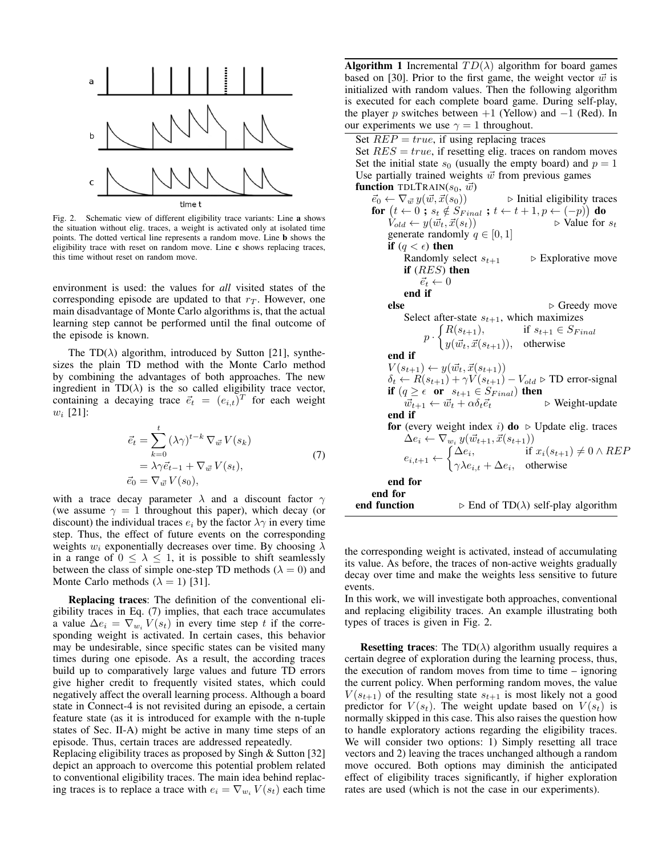

Fig. 2. Schematic view of different eligibility trace variants: Line a shows the situation without elig. traces, a weight is activated only at isolated time points. The dotted vertical line represents a random move. Line b shows the eligibility trace with reset on random move. Line  $c$  shows replacing traces, this time without reset on random move.

environment is used: the values for *all* visited states of the corresponding episode are updated to that  $r<sub>T</sub>$ . However, one main disadvantage of Monte Carlo algorithms is, that the actual learning step cannot be performed until the final outcome of the episode is known.

The TD( $\lambda$ ) algorithm, introduced by Sutton [21], synthesizes the plain TD method with the Monte Carlo method by combining the advantages of both approaches. The new ingredient in TD( $\lambda$ ) is the so called eligibility trace vector, containing a decaying trace  $\vec{e}_t = (e_{i,t})^T$  for each weight  $w_i$  [21]:

$$
\begin{aligned}\n\vec{e}_t &= \sum_{k=0}^t (\lambda \gamma)^{t-k} \, \nabla_{\vec{w}} \, V(s_k) \\
&= \lambda \gamma \vec{e}_{t-1} + \nabla_{\vec{w}} \, V(s_t), \\
\vec{e}_0 &= \nabla_{\vec{w}} \, V(s_0),\n\end{aligned} \tag{7}
$$

with a trace decay parameter  $\lambda$  and a discount factor  $\gamma$ (we assume  $\gamma = 1$  throughout this paper), which decay (or discount) the individual traces  $e_i$  by the factor  $\lambda \gamma$  in every time step. Thus, the effect of future events on the corresponding weights  $w_i$  exponentially decreases over time. By choosing  $\lambda$ in a range of  $0 \leq \lambda \leq 1$ , it is possible to shift seamlessly between the class of simple one-step TD methods ( $\lambda = 0$ ) and Monte Carlo methods  $(\lambda = 1)$  [31].

Replacing traces: The definition of the conventional eligibility traces in Eq. (7) implies, that each trace accumulates a value  $\Delta e_i = \nabla_{w_i} V(s_i)$  in every time step t if the corresponding weight is activated. In certain cases, this behavior may be undesirable, since specific states can be visited many times during one episode. As a result, the according traces build up to comparatively large values and future TD errors give higher credit to frequently visited states, which could negatively affect the overall learning process. Although a board state in Connect-4 is not revisited during an episode, a certain feature state (as it is introduced for example with the n-tuple states of Sec. II-A) might be active in many time steps of an episode. Thus, certain traces are addressed repeatedly.

Replacing eligibility traces as proposed by Singh & Sutton [32] depict an approach to overcome this potential problem related to conventional eligibility traces. The main idea behind replacing traces is to replace a trace with  $e_i = \nabla_{w_i} V(s_i)$  each time

**Algorithm 1** Incremental  $TD(\lambda)$  algorithm for board games based on [30]. Prior to the first game, the weight vector  $\vec{w}$  is initialized with random values. Then the following algorithm is executed for each complete board game. During self-play, the player p switches between  $+1$  (Yellow) and  $-1$  (Red). In our experiments we use  $\gamma = 1$  throughout.

Set  $REP = true$ , if using replacing traces Set  $RES = true$ , if resetting elig. traces on random moves Set the initial state  $s_0$  (usually the empty board) and  $p = 1$ Use partially trained weights  $\vec{w}$  from previous games **function** TDLTRAIN( $s_0$ ,  $\vec{w}$ )  $\vec{e}_0 \leftarrow \nabla_{\vec{w}} y(\vec{w}, \vec{x}(s_0))$   $\triangleright$  Initial eligibility traces for  $\big(t\leftarrow 0 \; ; \; s_t \notin S_{Final} \; ; \; t\leftarrow t+1, p\leftarrow (-p)\big)$  do  $V_{old} \leftarrow y(\vec{w_t}, \vec{x}(s_t))$   $\triangleright$  Value for  $s_t$ generate randomly  $q \in [0, 1]$ if  $(q < \epsilon)$  then Randomly select  $s_{t+1}$   $\rightarrow$  Explorative move if  $(RES)$  then  $\vec{e}_t \leftarrow 0$ end if else  $\triangleright$  Greedy move Select after-state  $s_{t+1}$ , which maximizes  $p \cdot \begin{cases} R(s_{t+1}), & \text{if } s_{t+1} \in S_{Final} \\ R(s_{t+1}), & \text{if } s_{t+1} \in S_{Final} \end{cases}$  $y(\vec{w}_t, \vec{x}(s_{t+1}))$ , otherwise end if  $V(s_{t+1}) \leftarrow y(\vec{w_t}, \vec{x}(s_{t+1}))$  $\delta_t \leftarrow R(s_{t+1}) + \gamma V(s_{t+1}) - V_{old} \triangleright \text{TD error-signal}$ if  $(q \geq \epsilon$  or  $s_{t+1} \in S_{Final}$ ) then  $\vec{w}_{t+1} \leftarrow \vec{w}_t + \alpha \delta_t \vec{e}_t$   $\triangleright$  Weight-update end if for (every weight index i) do  $\triangleright$  Update elig. traces  $\Delta e_i \leftarrow \nabla_{w_i} y(\vec{w}_{t+1}, \vec{x}(s_{t+1}))$  $e_{i,t+1} \leftarrow \begin{cases} \Delta e_i, & \text{if } x_i(s_{t+1}) \neq 0 \land REP \end{cases}$  $\gamma \lambda e_{i,t} + \Delta e_i$ , otherwise end for end for end function  $\triangleright$  End of TD( $\lambda$ ) self-play algorithm

the corresponding weight is activated, instead of accumulating its value. As before, the traces of non-active weights gradually decay over time and make the weights less sensitive to future events.

In this work, we will investigate both approaches, conventional and replacing eligibility traces. An example illustrating both types of traces is given in Fig. 2.

**Resetting traces:** The TD( $\lambda$ ) algorithm usually requires a certain degree of exploration during the learning process, thus, the execution of random moves from time to time  $-$  ignoring the current policy. When performing random moves, the value  $V(s_{t+1})$  of the resulting state  $s_{t+1}$  is most likely not a good predictor for  $V(s_t)$ . The weight update based on  $V(s_t)$  is normally skipped in this case. This also raises the question how to handle exploratory actions regarding the eligibility traces. We will consider two options: 1) Simply resetting all trace vectors and 2) leaving the traces unchanged although a random move occured. Both options may diminish the anticipated effect of eligibility traces significantly, if higher exploration rates are used (which is not the case in our experiments).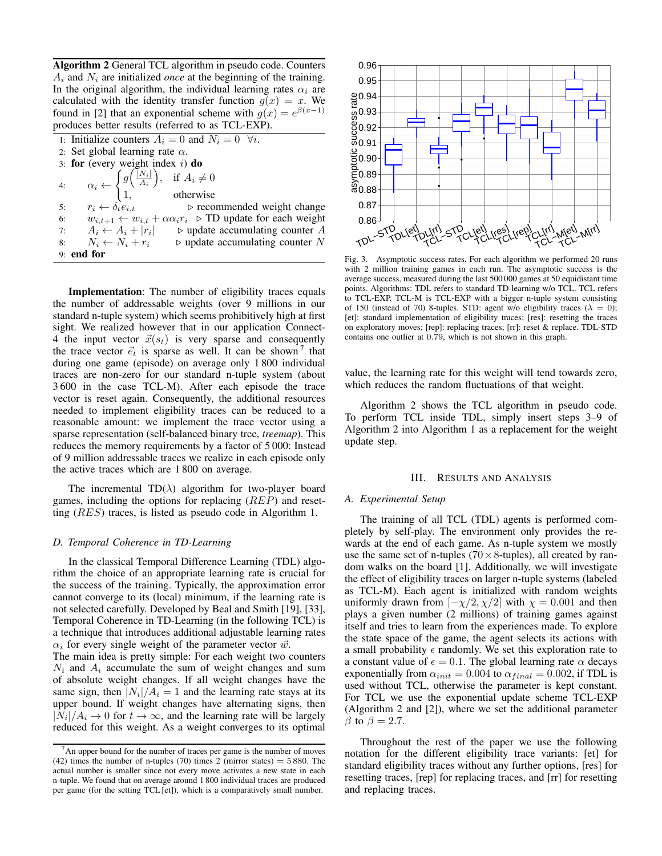Algorithm 2 General TCL algorithm in pseudo code. Counters  $A_i$  and  $N_i$  are initialized *once* at the beginning of the training. In the original algorithm, the individual learning rates  $\alpha_i$  are calculated with the identity transfer function  $g(x) = x$ . We found in [2] that an exponential scheme with  $g(x) = e^{\beta(x-1)}$ produces better results (referred to as TCL-EXP).

1: Initialize counters  $A_i = 0$  and  $N_i = 0 \ \forall i$ . 2: Set global learning rate  $\alpha$ . 3: for (every weight index  $i$ ) do 4:  $\alpha_i \leftarrow$  $\int g\left(\frac{|N_i|}{4}\right)$  $\left(\frac{N_i|}{A_i}\right)$ , if  $A_i \neq 0$ 1, otherwise 5:  $r_i \leftarrow \delta_t e_{i,t}$  > recommended weight change 6:  $w_{i,t+1} \leftarrow w_{i,t} + \alpha \alpha_i r_i$   $\triangleright$  TD update for each weight 7:  $A_i \leftarrow A_i + |r_i|$ <br>8:  $N_i \leftarrow N_i + r_i$  $\triangleright$  update accumulating counter A 8:  $N_i \leftarrow N_i + r_i$   $\triangleright$  update accumulating counter N 9: end for

Implementation: The number of eligibility traces equals the number of addressable weights (over 9 millions in our standard n-tuple system) which seems prohibitively high at first sight. We realized however that in our application Connect-4 the input vector  $\vec{x}(s_t)$  is very sparse and consequently the trace vector  $\vec{e}_t$  is sparse as well. It can be shown<sup>7</sup> that during one game (episode) on average only 1 800 individual traces are non-zero for our standard n-tuple system (about 3 600 in the case TCL-M). After each episode the trace vector is reset again. Consequently, the additional resources needed to implement eligibility traces can be reduced to a reasonable amount: we implement the trace vector using a sparse representation (self-balanced binary tree, *treemap*). This reduces the memory requirements by a factor of 5 000: Instead of 9 million addressable traces we realize in each episode only the active traces which are 1 800 on average.

The incremental  $TD(\lambda)$  algorithm for two-player board games, including the options for replacing  $(REP)$  and resetting (RES) traces, is listed as pseudo code in Algorithm 1.

## *D. Temporal Coherence in TD-Learning*

In the classical Temporal Difference Learning (TDL) algorithm the choice of an appropriate learning rate is crucial for the success of the training. Typically, the approximation error cannot converge to its (local) minimum, if the learning rate is not selected carefully. Developed by Beal and Smith [19], [33], Temporal Coherence in TD-Learning (in the following TCL) is a technique that introduces additional adjustable learning rates  $\alpha_i$  for every single weight of the parameter vector  $\vec{w}$ . The main idea is pretty simple: For each weight two counters  $N_i$  and  $A_i$  accumulate the sum of weight changes and sum of absolute weight changes. If all weight changes have the same sign, then  $|N_i|/A_i = 1$  and the learning rate stays at its upper bound. If weight changes have alternating signs, then  $|N_i|/A_i \to 0$  for  $t \to \infty$ , and the learning rate will be largely reduced for this weight. As a weight converges to its optimal



Fig. 3. Asymptotic success rates. For each algorithm we performed 20 runs with 2 million training games in each run. The asymptotic success is the average success, measured during the last 500 000 games at 50 equidistant time points. Algorithms: TDL refers to standard TD-learning w/o TCL. TCL refers to TCL-EXP. TCL-M is TCL-EXP with a bigger n-tuple system consisting of 150 (instead of 70) 8-tuples. STD: agent w/o eligibility traces ( $\lambda = 0$ ); [et]: standard implementation of eligibility traces; [res]: resetting the traces on exploratory moves; [rep]: replacing traces; [rr]: reset & replace. TDL-STD contains one outlier at 0.79, which is not shown in this graph.

value, the learning rate for this weight will tend towards zero, which reduces the random fluctuations of that weight.

Algorithm 2 shows the TCL algorithm in pseudo code. To perform TCL inside TDL, simply insert steps 3–9 of Algorithm 2 into Algorithm 1 as a replacement for the weight update step.

#### III. RESULTS AND ANALYSIS

#### *A. Experimental Setup*

The training of all TCL (TDL) agents is performed completely by self-play. The environment only provides the rewards at the end of each game. As n-tuple system we mostly use the same set of n-tuples ( $70 \times 8$ -tuples), all created by random walks on the board [1]. Additionally, we will investigate the effect of eligibility traces on larger n-tuple systems (labeled as TCL-M). Each agent is initialized with random weights uniformly drawn from  $[-\chi/2, \chi/2]$  with  $\chi = 0.001$  and then plays a given number (2 millions) of training games against itself and tries to learn from the experiences made. To explore the state space of the game, the agent selects its actions with a small probability  $\epsilon$  randomly. We set this exploration rate to a constant value of  $\epsilon = 0.1$ . The global learning rate  $\alpha$  decays exponentially from  $\alpha_{init} = 0.004$  to  $\alpha_{final} = 0.002$ , if TDL is used without TCL, otherwise the parameter is kept constant. For TCL we use the exponential update scheme TCL-EXP (Algorithm 2 and [2]), where we set the additional parameter  $\beta$  to  $\beta = 2.7$ .

Throughout the rest of the paper we use the following notation for the different eligibility trace variants: [et] for standard eligibility traces without any further options, [res] for resetting traces, [rep] for replacing traces, and [rr] for resetting and replacing traces.

 $7$ An upper bound for the number of traces per game is the number of moves (42) times the number of n-tuples (70) times 2 (mirror states)  $= 5880$ . The actual number is smaller since not every move activates a new state in each n-tuple. We found that on average around 1 800 individual traces are produced per game (for the setting TCL [et]), which is a comparatively small number.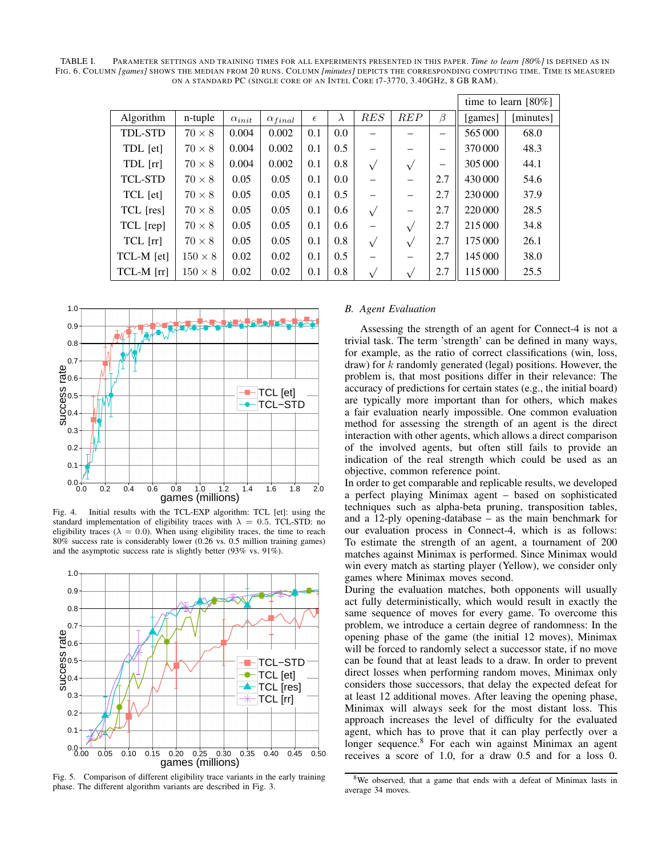TABLE I. PARAMETER SETTINGS AND TRAINING TIMES FOR ALL EXPERIMENTS PRESENTED IN THIS PAPER. *Time to learn [80%]* IS DEFINED AS IN FIG. 6. COLUMN *[games]* SHOWS THE MEDIAN FROM 20 RUNS. COLUMN *[minutes]* DEPICTS THE CORRESPONDING COMPUTING TIME. TIME IS MEASURED ON A STANDARD PC (SINGLE CORE OF AN INTEL CORE I7-3770, 3.40GHZ, 8 GB RAM).

|                |                |                 |                  |            |           |                          |            |     | time to learn $[80\%]$ |           |
|----------------|----------------|-----------------|------------------|------------|-----------|--------------------------|------------|-----|------------------------|-----------|
| Algorithm      | n-tuple        | $\alpha_{init}$ | $\alpha_{final}$ | $\epsilon$ | $\lambda$ | RES                      | REP        | β   | [games]                | [minutes] |
| TDL-STD        | $70 \times 8$  | 0.004           | 0.002            | 0.1        | 0.0       |                          |            | —   | 565000                 | 68.0      |
| TDL [et]       | $70 \times 8$  | 0.004           | 0.002            | 0.1        | 0.5       | $\overline{\phantom{0}}$ |            | -   | 370 000                | 48.3      |
| TDL [rr]       | $70 \times 8$  | 0.004           | 0.002            | 0.1        | 0.8       | $\sqrt{ }$               | $\sqrt{}$  | -   | 305 000                | 44.1      |
| <b>TCL-STD</b> | $70 \times 8$  | 0.05            | 0.05             | 0.1        | 0.0       |                          |            | 2.7 | 430 000                | 54.6      |
| TCL [et]       | $70 \times 8$  | 0.05            | 0.05             | 0.1        | 0.5       |                          |            | 2.7 | 230 000                | 37.9      |
| TCL [res]      | $70 \times 8$  | 0.05            | 0.05             | 0.1        | 0.6       | $\sqrt{ }$               | -          | 2.7 | 220 000                | 28.5      |
| TCL [rep]      | $70 \times 8$  | 0.05            | 0.05             | 0.1        | 0.6       |                          | $\sqrt{}$  | 2.7 | 215 000                | 34.8      |
| $TCL$ [ $rr$ ] | $70 \times 8$  | 0.05            | 0.05             | 0.1        | 0.8       | $\sqrt{}$                | $\sqrt{}$  | 2.7 | 175 000                | 26.1      |
| TCL-M [et]     | $150\times 8$  | 0.02            | 0.02             | 0.1        | 0.5       |                          |            | 2.7 | 145 000                | 38.0      |
| TCL-M [rr]     | $150 \times 8$ | 0.02            | 0.02             | 0.1        | 0.8       | $\sqrt{ }$               | $\sqrt{ }$ | 2.7 | 115 000                | 25.5      |



Fig. 4. Initial results with the TCL-EXP algorithm: TCL [et]: using the standard implementation of eligibility traces with  $\lambda = 0.5$ . TCL-STD: no eligibility traces ( $\lambda = 0.0$ ). When using eligibility traces, the time to reach 80% success rate is considerably lower (0.26 vs. 0.5 million training games) and the asymptotic success rate is slightly better (93% vs. 91%).



Fig. 5. Comparison of different eligibility trace variants in the early training phase. The different algorithm variants are described in Fig. 3.

# *B. Agent Evaluation*

Assessing the strength of an agent for Connect-4 is not a trivial task. The term 'strength' can be defined in many ways, for example, as the ratio of correct classifications (win, loss, draw) for k randomly generated (legal) positions. However, the problem is, that most positions differ in their relevance: The accuracy of predictions for certain states (e.g., the initial board) are typically more important than for others, which makes a fair evaluation nearly impossible. One common evaluation method for assessing the strength of an agent is the direct interaction with other agents, which allows a direct comparison of the involved agents, but often still fails to provide an indication of the real strength which could be used as an objective, common reference point.

In order to get comparable and replicable results, we developed a perfect playing Minimax agent – based on sophisticated techniques such as alpha-beta pruning, transposition tables, and a 12-ply opening-database – as the main benchmark for our evaluation process in Connect-4, which is as follows: To estimate the strength of an agent, a tournament of 200 matches against Minimax is performed. Since Minimax would win every match as starting player (Yellow), we consider only games where Minimax moves second.

During the evaluation matches, both opponents will usually act fully deterministically, which would result in exactly the same sequence of moves for every game. To overcome this problem, we introduce a certain degree of randomness: In the opening phase of the game (the initial 12 moves), Minimax will be forced to randomly select a successor state, if no move can be found that at least leads to a draw. In order to prevent direct losses when performing random moves, Minimax only considers those successors, that delay the expected defeat for at least 12 additional moves. After leaving the opening phase, Minimax will always seek for the most distant loss. This approach increases the level of difficulty for the evaluated agent, which has to prove that it can play perfectly over a longer sequence.<sup>8</sup> For each win against Minimax an agent receives a score of 1.0, for a draw 0.5 and for a loss 0.

<sup>8</sup>We observed, that a game that ends with a defeat of Minimax lasts in average 34 moves.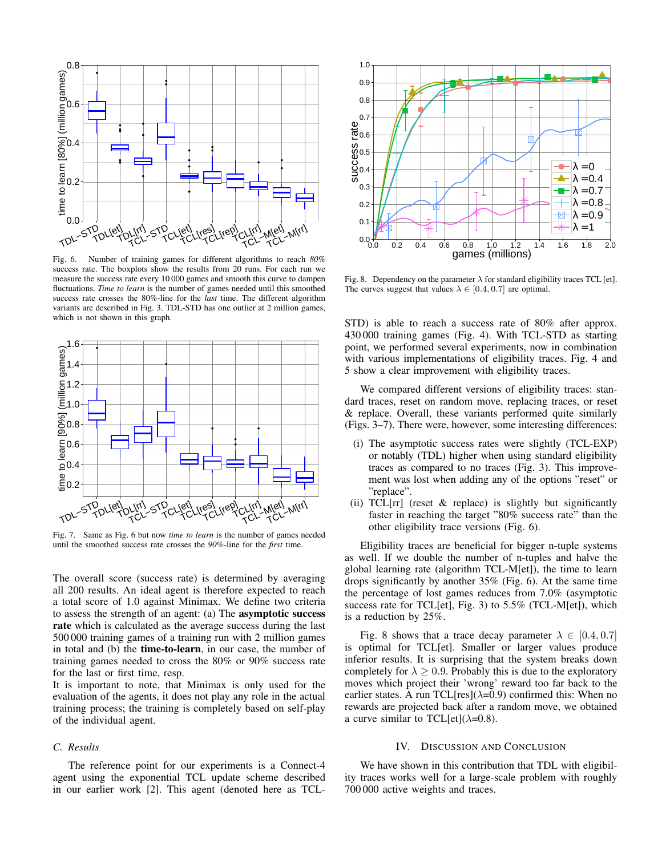

Fig. 6. Number of training games for different algorithms to reach *80%* success rate. The boxplots show the results from 20 runs. For each run we measure the success rate every 10 000 games and smooth this curve to dampen fluctuations. *Time to learn* is the number of games needed until this smoothed success rate crosses the 80%-line for the *last* time. The different algorithm variants are described in Fig. 3. TDL-STD has one outlier at 2 million games, which is not shown in this graph.



Fig. 7. Same as Fig. 6 but now *time to learn* is the number of games needed until the smoothed success rate crosses the *90%*-line for the *first* time.

The overall score (success rate) is determined by averaging all 200 results. An ideal agent is therefore expected to reach a total score of 1.0 against Minimax. We define two criteria to assess the strength of an agent: (a) The asymptotic success rate which is calculated as the average success during the last 500 000 training games of a training run with 2 million games in total and (b) the **time-to-learn**, in our case, the number of training games needed to cross the 80% or 90% success rate for the last or first time, resp.

It is important to note, that Minimax is only used for the evaluation of the agents, it does not play any role in the actual training process; the training is completely based on self-play of the individual agent.

# *C. Results*

The reference point for our experiments is a Connect-4 agent using the exponential TCL update scheme described in our earlier work [2]. This agent (denoted here as TCL-



Fig. 8. Dependency on the parameter  $\lambda$  for standard eligibility traces TCL [et]. The curves suggest that values  $\lambda \in [0.4, 0.7]$  are optimal.

STD) is able to reach a success rate of 80% after approx. 430 000 training games (Fig. 4). With TCL-STD as starting point, we performed several experiments, now in combination with various implementations of eligibility traces. Fig. 4 and 5 show a clear improvement with eligibility traces.

We compared different versions of eligibility traces: standard traces, reset on random move, replacing traces, or reset & replace. Overall, these variants performed quite similarly (Figs. 3–7). There were, however, some interesting differences:

- (i) The asymptotic success rates were slightly (TCL-EXP) or notably (TDL) higher when using standard eligibility traces as compared to no traces (Fig. 3). This improvement was lost when adding any of the options "reset" or "replace".
- (ii)  $TCL[rr]$  (reset & replace) is slightly but significantly faster in reaching the target "80% success rate" than the other eligibility trace versions (Fig. 6).

Eligibility traces are beneficial for bigger n-tuple systems as well. If we double the number of n-tuples and halve the global learning rate (algorithm TCL-M[et]), the time to learn drops significantly by another 35% (Fig. 6). At the same time the percentage of lost games reduces from 7.0% (asymptotic success rate for TCL[et], Fig. 3) to 5.5% (TCL-M[et]), which is a reduction by 25%.

Fig. 8 shows that a trace decay parameter  $\lambda \in [0.4, 0.7]$ is optimal for TCL[et]. Smaller or larger values produce inferior results. It is surprising that the system breaks down completely for  $\lambda \geq 0.9$ . Probably this is due to the exploratory moves which project their 'wrong' reward too far back to the earlier states. A run TCL[res]( $\lambda$ =0.9) confirmed this: When no rewards are projected back after a random move, we obtained a curve similar to TCL[et]( $\lambda$ =0.8).

#### IV. DISCUSSION AND CONCLUSION

We have shown in this contribution that TDL with eligibility traces works well for a large-scale problem with roughly 700 000 active weights and traces.